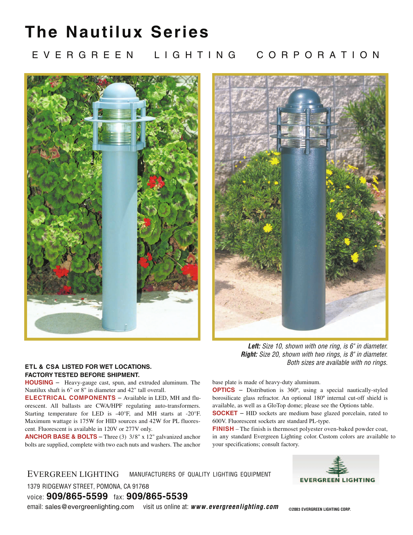## **The Nautilux Series**

### E V E R G R E E N LIGHTING CORPORATION





*Left: Size 10, shown with one ring, is 6" in diameter. Right: Size 20, shown with two rings, is 8" in diameter. Both sizes are available with no rings.*

### **ETL & CSA LISTED FOR WET LOCATIONS. FACTORY TESTED BEFORE SHIPMENT.**

**HOUSING** – Heavy-gauge cast, spun, and extruded aluminum. The Nautilux shaft is 6" or 8" in diameter and 42" tall overall.

**ELECTRICAL COMPONENTS** - Available in LED, MH and fluorescent. All ballasts are CWA/HPF regulating auto-transformers. Starting temperature for LED is -40 $\degree$ F, and MH starts at -20 $\degree$ F. Maximum wattage is 175W for HID sources and 42W for PL fluorescent. Fluorescent is available in 120V or 277V only.

**ANCHOR BASE & BOLTS** – Three (3) 3/8" x 12" galvanized anchor bolts are supplied, complete with two each nuts and washers. The anchor

base plate is made of heavy-duty aluminum.

**OPTICS** – Distribution is 360º, using a special nautically-styled borosilicate glass refractor. An optional 180º internal cut-off shield is available, as well as a GloTop dome; please see the Options table. **SOCKET** – HID sockets are medium base glazed porcelain, rated to 600V. Fluorescent sockets are standard PL-type.

**FINISH** – The finish is thermoset polyester oven-baked powder coat, in any standard Evergreen Lighting color. Custom colors are available to your specifications; consult factory.

#### MANUFACTURERS OF QUALITY LIGHTING EQUIPMENT EVERGREEN LIGHTING

1379 RIDGEWAY STREET, POMONA, CA 91768

voice: **909/865-5599** fax: **909/865-5539**

email: sales@evergreenlighting.com visit us online at: www.evergreenlighting.com

**EVERGREEN LIGHTING** 

**©2003 LIGHTING CORP. EVERGREEN**